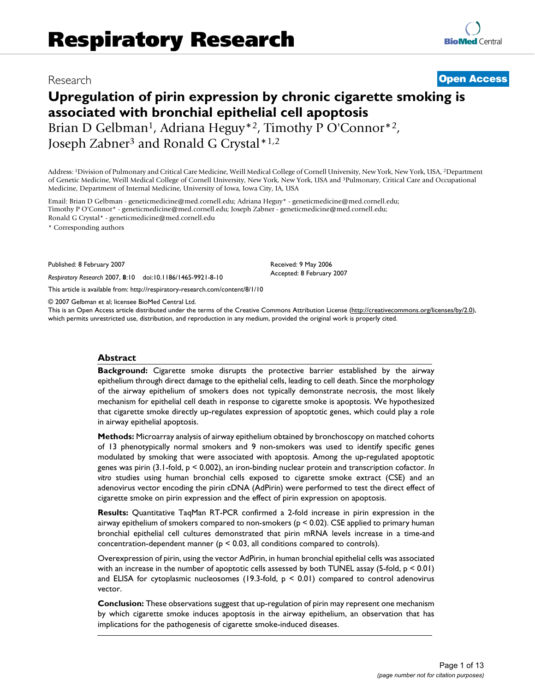# Research **[Open Access](http://www.biomedcentral.com/info/about/charter/)**

# **Upregulation of pirin expression by chronic cigarette smoking is associated with bronchial epithelial cell apoptosis** Brian D Gelbman<sup>1</sup>, Adriana Heguy<sup>\*2</sup>, Timothy P O'Connor<sup>\*2</sup>,

Joseph Zabner<sup>3</sup> and Ronald G Crystal<sup>\*1,2</sup>

Address: 1Division of Pulmonary and Critical Care Medicine, Weill Medical College of Cornell University, New York, New York, USA, 2Department of Genetic Medicine, Weill Medical College of Cornell University, New York, New York, USA and 3Pulmonary, Critical Care and Occupational Medicine, Department of Internal Medicine, University of Iowa, Iowa City, IA, USA

Email: Brian D Gelbman - geneticmedicine@med.cornell.edu; Adriana Heguy\* - geneticmedicine@med.cornell.edu; Timothy P O'Connor\* - geneticmedicine@med.cornell.edu; Joseph Zabner - geneticmedicine@med.cornell.edu; Ronald G Crystal\* - geneticmedicine@med.cornell.edu

\* Corresponding authors

Published: 8 February 2007

*Respiratory Research* 2007, **8**:10 doi:10.1186/1465-9921-8-10

[This article is available from: http://respiratory-research.com/content/8/1/10](http://respiratory-research.com/content/8/1/10)

© 2007 Gelbman et al; licensee BioMed Central Ltd.

This is an Open Access article distributed under the terms of the Creative Commons Attribution License [\(http://creativecommons.org/licenses/by/2.0\)](http://creativecommons.org/licenses/by/2.0), which permits unrestricted use, distribution, and reproduction in any medium, provided the original work is properly cited.

Received: 9 May 2006 Accepted: 8 February 2007

#### **Abstract**

**Background:** Cigarette smoke disrupts the protective barrier established by the airway epithelium through direct damage to the epithelial cells, leading to cell death. Since the morphology of the airway epithelium of smokers does not typically demonstrate necrosis, the most likely mechanism for epithelial cell death in response to cigarette smoke is apoptosis. We hypothesized that cigarette smoke directly up-regulates expression of apoptotic genes, which could play a role in airway epithelial apoptosis.

**Methods:** Microarray analysis of airway epithelium obtained by bronchoscopy on matched cohorts of 13 phenotypically normal smokers and 9 non-smokers was used to identify specific genes modulated by smoking that were associated with apoptosis. Among the up-regulated apoptotic genes was pirin (3.1-fold, p < 0.002), an iron-binding nuclear protein and transcription cofactor. *In vitro* studies using human bronchial cells exposed to cigarette smoke extract (CSE) and an adenovirus vector encoding the pirin cDNA (AdPirin) were performed to test the direct effect of cigarette smoke on pirin expression and the effect of pirin expression on apoptosis.

**Results:** Quantitative TaqMan RT-PCR confirmed a 2-fold increase in pirin expression in the airway epithelium of smokers compared to non-smokers ( $p < 0.02$ ). CSE applied to primary human bronchial epithelial cell cultures demonstrated that pirin mRNA levels increase in a time-and concentration-dependent manner ( $p < 0.03$ , all conditions compared to controls).

Overexpression of pirin, using the vector AdPirin, in human bronchial epithelial cells was associated with an increase in the number of apoptotic cells assessed by both TUNEL assay (5-fold, p < 0.01) and ELISA for cytoplasmic nucleosomes (19.3-fold,  $p < 0.01$ ) compared to control adenovirus vector.

**Conclusion:** These observations suggest that up-regulation of pirin may represent one mechanism by which cigarette smoke induces apoptosis in the airway epithelium, an observation that has implications for the pathogenesis of cigarette smoke-induced diseases.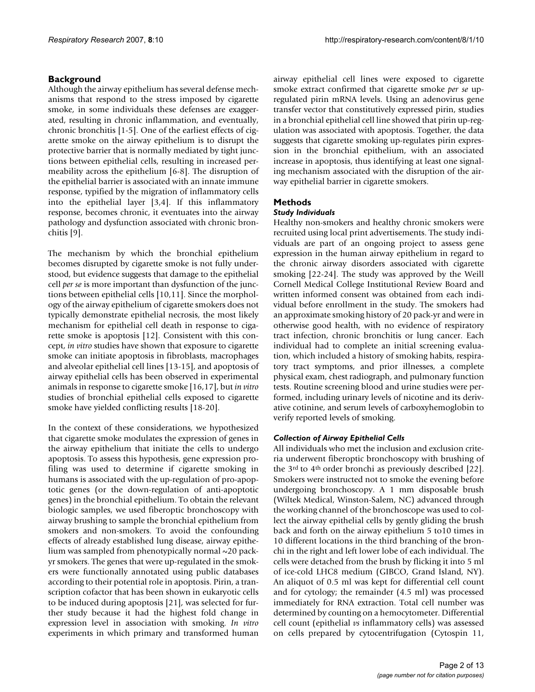### **Background**

Although the airway epithelium has several defense mechanisms that respond to the stress imposed by cigarette smoke, in some individuals these defenses are exaggerated, resulting in chronic inflammation, and eventually, chronic bronchitis [1-5]. One of the earliest effects of cigarette smoke on the airway epithelium is to disrupt the protective barrier that is normally mediated by tight junctions between epithelial cells, resulting in increased permeability across the epithelium [6-8]. The disruption of the epithelial barrier is associated with an innate immune response, typified by the migration of inflammatory cells into the epithelial layer [3,4]. If this inflammatory response, becomes chronic, it eventuates into the airway pathology and dysfunction associated with chronic bronchitis [9].

The mechanism by which the bronchial epithelium becomes disrupted by cigarette smoke is not fully understood, but evidence suggests that damage to the epithelial cell *per se* is more important than dysfunction of the junctions between epithelial cells [10,11]. Since the morphology of the airway epithelium of cigarette smokers does not typically demonstrate epithelial necrosis, the most likely mechanism for epithelial cell death in response to cigarette smoke is apoptosis [12]. Consistent with this concept, *in vitro* studies have shown that exposure to cigarette smoke can initiate apoptosis in fibroblasts, macrophages and alveolar epithelial cell lines [13-15], and apoptosis of airway epithelial cells has been observed in experimental animals in response to cigarette smoke [16,17], but *in vitro* studies of bronchial epithelial cells exposed to cigarette smoke have yielded conflicting results [18-20].

In the context of these considerations, we hypothesized that cigarette smoke modulates the expression of genes in the airway epithelium that initiate the cells to undergo apoptosis. To assess this hypothesis, gene expression profiling was used to determine if cigarette smoking in humans is associated with the up-regulation of pro-apoptotic genes (or the down-regulation of anti-apoptotic genes) in the bronchial epithelium. To obtain the relevant biologic samples, we used fiberoptic bronchoscopy with airway brushing to sample the bronchial epithelium from smokers and non-smokers. To avoid the confounding effects of already established lung disease, airway epithelium was sampled from phenotypically normal ~20 packyr smokers. The genes that were up-regulated in the smokers were functionally annotated using public databases according to their potential role in apoptosis. Pirin, a transcription cofactor that has been shown in eukaryotic cells to be induced during apoptosis [21], was selected for further study because it had the highest fold change in expression level in association with smoking. *In vitro* experiments in which primary and transformed human

airway epithelial cell lines were exposed to cigarette smoke extract confirmed that cigarette smoke *per se* upregulated pirin mRNA levels. Using an adenovirus gene transfer vector that constitutively expressed pirin, studies in a bronchial epithelial cell line showed that pirin up-regulation was associated with apoptosis. Together, the data suggests that cigarette smoking up-regulates pirin expression in the bronchial epithelium, with an associated increase in apoptosis, thus identifying at least one signaling mechanism associated with the disruption of the airway epithelial barrier in cigarette smokers.

#### **Methods**

#### *Study Individuals*

Healthy non-smokers and healthy chronic smokers were recruited using local print advertisements. The study individuals are part of an ongoing project to assess gene expression in the human airway epithelium in regard to the chronic airway disorders associated with cigarette smoking [22-24]. The study was approved by the Weill Cornell Medical College Institutional Review Board and written informed consent was obtained from each individual before enrollment in the study. The smokers had an approximate smoking history of 20 pack-yr and were in otherwise good health, with no evidence of respiratory tract infection, chronic bronchitis or lung cancer. Each individual had to complete an initial screening evaluation, which included a history of smoking habits, respiratory tract symptoms, and prior illnesses, a complete physical exam, chest radiograph, and pulmonary function tests. Routine screening blood and urine studies were performed, including urinary levels of nicotine and its derivative cotinine, and serum levels of carboxyhemoglobin to verify reported levels of smoking.

#### *Collection of Airway Epithelial Cells*

All individuals who met the inclusion and exclusion criteria underwent fiberoptic bronchoscopy with brushing of the 3rd to 4th order bronchi as previously described [22]. Smokers were instructed not to smoke the evening before undergoing bronchoscopy. A 1 mm disposable brush (Wiltek Medical, Winston-Salem, NC) advanced through the working channel of the bronchoscope was used to collect the airway epithelial cells by gently gliding the brush back and forth on the airway epithelium 5 to10 times in 10 different locations in the third branching of the bronchi in the right and left lower lobe of each individual. The cells were detached from the brush by flicking it into 5 ml of ice-cold LHC8 medium (GIBCO, Grand Island, NY). An aliquot of 0.5 ml was kept for differential cell count and for cytology; the remainder (4.5 ml) was processed immediately for RNA extraction. Total cell number was determined by counting on a hemocytometer. Differential cell count (epithelial *vs* inflammatory cells) was assessed on cells prepared by cytocentrifugation (Cytospin 11,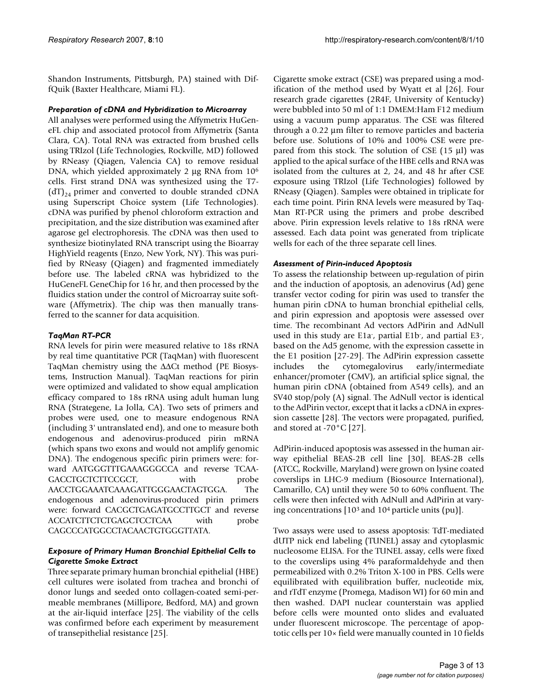Shandon Instruments, Pittsburgh, PA) stained with DiffQuik (Baxter Healthcare, Miami FL).

#### *Preparation of cDNA and Hybridization to Microarray*

All analyses were performed using the Affymetrix HuGeneFL chip and associated protocol from Affymetrix (Santa Clara, CA). Total RNA was extracted from brushed cells using TRIzol (Life Technologies, Rockville, MD) followed by RNeasy (Qiagen, Valencia CA) to remove residual DNA, which yielded approximately 2 μg RNA from 106 cells. First strand DNA was synthesized using the T7-  $(dT)_{24}$  primer and converted to double stranded cDNA using Superscript Choice system (Life Technologies). cDNA was purified by phenol chloroform extraction and precipitation, and the size distribution was examined after agarose gel electrophoresis. The cDNA was then used to synthesize biotinylated RNA transcript using the Bioarray HighYield reagents (Enzo, New York, NY). This was purified by RNeasy (Qiagen) and fragmented immediately before use. The labeled cRNA was hybridized to the HuGeneFL GeneChip for 16 hr, and then processed by the fluidics station under the control of Microarray suite software (Affymetrix). The chip was then manually transferred to the scanner for data acquisition.

#### *TaqMan RT-PCR*

RNA levels for pirin were measured relative to 18s rRNA by real time quantitative PCR (TaqMan) with fluorescent TaqMan chemistry using the ΔΔCt method (PE Biosystems, Instruction Manual). TaqMan reactions for pirin were optimized and validated to show equal amplication efficacy compared to 18s rRNA using adult human lung RNA (Strategene, La Jolla, CA). Two sets of primers and probes were used, one to measure endogenous RNA (including 3' untranslated end), and one to measure both endogenous and adenovirus-produced pirin mRNA (which spans two exons and would not amplify genomic DNA). The endogenous specific pirin primers were: forward AATGGGTTTGAAAGGGCCA and reverse TCAA-GACCTGCTCTTCCGCT, with probe AACCTGGAAATCAAAGATTGGGAACTAGTGGA. The endogenous and adenovirus-produced pirin primers were: forward CACGCTGAGATGCCTTGCT and reverse ACCATCTTCTCTGAGCTCCTCAA with probe CAGCCCATGGCCTACAACTGTGGGTTATA.

#### *Exposure of Primary Human Bronchial Epithelial Cells to Cigarette Smoke Extract*

Three separate primary human bronchial epithelial (HBE) cell cultures were isolated from trachea and bronchi of donor lungs and seeded onto collagen-coated semi-permeable membranes (Millipore, Bedford, MA) and grown at the air-liquid interface [25]. The viability of the cells was confirmed before each experiment by measurement of transepithelial resistance [25].

Cigarette smoke extract (CSE) was prepared using a modification of the method used by Wyatt et al [26]. Four research grade cigarettes (2R4F, University of Kentucky) were bubbled into 50 ml of 1:1 DMEM:Ham F12 medium using a vacuum pump apparatus. The CSE was filtered through a 0.22 μm filter to remove particles and bacteria before use. Solutions of 10% and 100% CSE were prepared from this stock. The solution of CSE  $(15 \mu l)$  was applied to the apical surface of the HBE cells and RNA was isolated from the cultures at 2, 24, and 48 hr after CSE exposure using TRIzol (Life Technologies) followed by RNeasy (Qiagen). Samples were obtained in triplicate for each time point. Pirin RNA levels were measured by Taq-Man RT-PCR using the primers and probe described above. Pirin expression levels relative to 18s rRNA were assessed. Each data point was generated from triplicate wells for each of the three separate cell lines.

#### *Assessment of Pirin-induced Apoptosis*

To assess the relationship between up-regulation of pirin and the induction of apoptosis, an adenovirus (Ad) gene transfer vector coding for pirin was used to transfer the human pirin cDNA to human bronchial epithelial cells, and pirin expression and apoptosis were assessed over time. The recombinant Ad vectors AdPirin and AdNull used in this study are E1a<sup>-</sup>, partial E1b<sup>-</sup>, and partial E3<sup>-</sup>, based on the Ad5 genome, with the expression cassette in the E1 position [27-29]. The AdPirin expression cassette includes the cytomegalovirus early/intermediate enhancer/promoter (CMV), an artificial splice signal, the human pirin cDNA (obtained from A549 cells), and an SV40 stop/poly (A) signal. The AdNull vector is identical to the AdPirin vector, except that it lacks a cDNA in expression cassette [28]. The vectors were propagated, purified, and stored at -70°C [27].

AdPirin-induced apoptosis was assessed in the human airway epithelial BEAS-2B cell line [30]. BEAS-2B cells (ATCC, Rockville, Maryland) were grown on lysine coated coverslips in LHC-9 medium (Biosource International), Camarillo, CA) until they were 50 to 60% confluent. The cells were then infected with AdNull and AdPirin at varying concentrations  $[10^3 \text{ and } 10^4 \text{ particle units (pu)}].$ 

Two assays were used to assess apoptosis: TdT-mediated dUTP nick end labeling (TUNEL) assay and cytoplasmic nucleosome ELISA. For the TUNEL assay, cells were fixed to the coverslips using 4% paraformaldehyde and then permeabilized with 0.2% Triton X-100 in PBS. Cells were equilibrated with equilibration buffer, nucleotide mix, and rTdT enzyme (Promega, Madison WI) for 60 min and then washed. DAPI nuclear counterstain was applied before cells were mounted onto slides and evaluated under fluorescent microscope. The percentage of apoptotic cells per 10× field were manually counted in 10 fields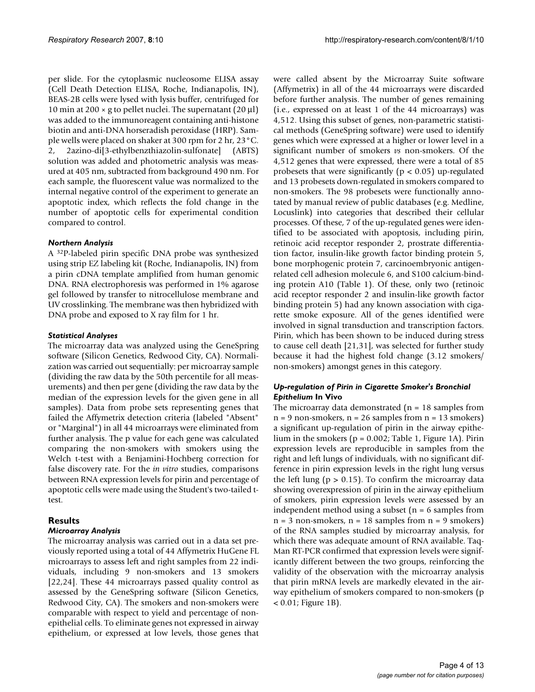per slide. For the cytoplasmic nucleosome ELISA assay (Cell Death Detection ELISA, Roche, Indianapolis, IN), BEAS-2B cells were lysed with lysis buffer, centrifuged for 10 min at 200  $\times$  g to pellet nuclei. The supernatant (20 µl) was added to the immunoreagent containing anti-histone biotin and anti-DNA horseradish peroxidase (HRP). Sample wells were placed on shaker at 300 rpm for 2 hr, 23°C. 2, 2azino-di[3-ethylbenzthiazolin-sulfonate] (ABTS) solution was added and photometric analysis was measured at 405 nm, subtracted from background 490 nm. For each sample, the fluorescent value was normalized to the internal negative control of the experiment to generate an apoptotic index, which reflects the fold change in the number of apoptotic cells for experimental condition compared to control.

#### *Northern Analysis*

A 32P-labeled pirin specific DNA probe was synthesized using strip EZ labeling kit (Roche, Indianapolis, IN) from a pirin cDNA template amplified from human genomic DNA. RNA electrophoresis was performed in 1% agarose gel followed by transfer to nitrocellulose membrane and UV crosslinking. The membrane was then hybridized with DNA probe and exposed to X ray film for 1 hr.

#### *Statistical Analyses*

The microarray data was analyzed using the GeneSpring software (Silicon Genetics, Redwood City, CA). Normalization was carried out sequentially: per microarray sample (dividing the raw data by the 50th percentile for all measurements) and then per gene (dividing the raw data by the median of the expression levels for the given gene in all samples). Data from probe sets representing genes that failed the Affymetrix detection criteria (labeled "Absent" or "Marginal") in all 44 microarrays were eliminated from further analysis. The p value for each gene was calculated comparing the non-smokers with smokers using the Welch t-test with a Benjamini-Hochberg correction for false discovery rate. For the *in vitro* studies, comparisons between RNA expression levels for pirin and percentage of apoptotic cells were made using the Student's two-tailed ttest.

#### **Results**

#### *Microarray Analysis*

The microarray analysis was carried out in a data set previously reported using a total of 44 Affymetrix HuGene FL microarrays to assess left and right samples from 22 individuals, including 9 non-smokers and 13 smokers [22,24]. These 44 microarrays passed quality control as assessed by the GeneSpring software (Silicon Genetics, Redwood City, CA). The smokers and non-smokers were comparable with respect to yield and percentage of nonepithelial cells. To eliminate genes not expressed in airway epithelium, or expressed at low levels, those genes that were called absent by the Microarray Suite software (Affymetrix) in all of the 44 microarrays were discarded before further analysis. The number of genes remaining (i.e., expressed on at least 1 of the 44 microarrays) was 4,512. Using this subset of genes, non-parametric statistical methods (GeneSpring software) were used to identify genes which were expressed at a higher or lower level in a significant number of smokers *vs* non-smokers. Of the 4,512 genes that were expressed, there were a total of 85 probesets that were significantly ( $p < 0.05$ ) up-regulated and 13 probesets down-regulated in smokers compared to non-smokers. The 98 probesets were functionally annotated by manual review of public databases (e.g. Medline, Locuslink) into categories that described their cellular processes. Of these, 7 of the up-regulated genes were identified to be associated with apoptosis, including pirin, retinoic acid receptor responder 2, prostrate differentiation factor, insulin-like growth factor binding protein 5, bone morphogenic protein 7, carcinoembryonic antigenrelated cell adhesion molecule 6, and S100 calcium-binding protein A10 (Table 1). Of these, only two (retinoic acid receptor responder 2 and insulin-like growth factor binding protein 5) had any known association with cigarette smoke exposure. All of the genes identified were involved in signal transduction and transcription factors. Pirin, which has been shown to be induced during stress to cause cell death [21,31], was selected for further study because it had the highest fold change (3.12 smokers/ non-smokers) amongst genes in this category.

#### *Up-regulation of Pirin in Cigarette Smoker's Bronchial Epithelium* **In Vivo**

The microarray data demonstrated  $(n = 18 \text{ samples from})$  $n = 9$  non-smokers,  $n = 26$  samples from  $n = 13$  smokers) a significant up-regulation of pirin in the airway epithelium in the smokers ( $p = 0.002$ ; Table 1, Figure 1A). Pirin expression levels are reproducible in samples from the right and left lungs of individuals, with no significant difference in pirin expression levels in the right lung versus the left lung ( $p > 0.15$ ). To confirm the microarray data showing overexpression of pirin in the airway epithelium of smokers, pirin expression levels were assessed by an independent method using a subset ( $n = 6$  samples from  $n = 3$  non-smokers,  $n = 18$  samples from  $n = 9$  smokers) of the RNA samples studied by microarray analysis, for which there was adequate amount of RNA available. Taq-Man RT-PCR confirmed that expression levels were significantly different between the two groups, reinforcing the validity of the observation with the microarray analysis that pirin mRNA levels are markedly elevated in the airway epithelium of smokers compared to non-smokers (p < 0.01; Figure 1B).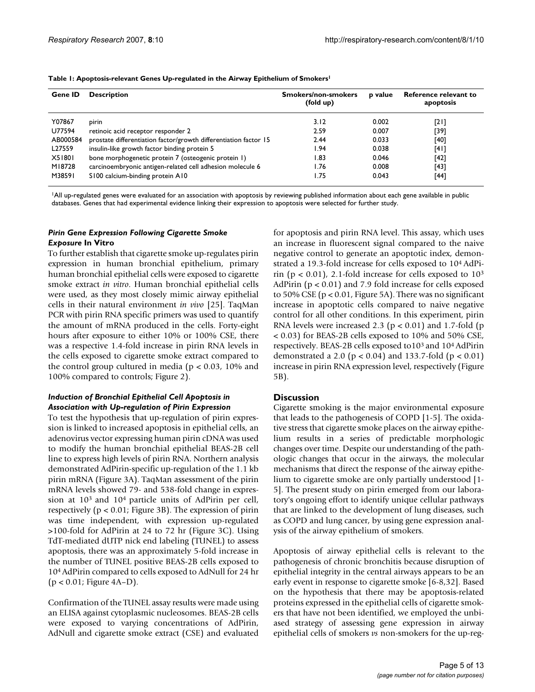| Gene ID  | <b>Description</b>                                               | Smokers/non-smokers<br>(fold up) | p value | Reference relevant to<br>apoptosis |
|----------|------------------------------------------------------------------|----------------------------------|---------|------------------------------------|
| Y07867   | <b>pirin</b>                                                     | 3.12                             | 0.002   | [2]                                |
| U77594   | retinoic acid receptor responder 2                               | 2.59                             | 0.007   | [39]                               |
| AB000584 | prostate differentiation factor/growth differentiation factor 15 | 2.44                             | 0.033   | [40]                               |
| L27559   | insulin-like growth factor binding protein 5                     | 1.94                             | 0.038   | [41]                               |
| X51801   | bone morphogenetic protein 7 (osteogenic protein 1)              | 1.83                             | 0.046   | [42]                               |
| M18728   | carcinoembryonic antigen-related cell adhesion molecule 6        | 1.76                             | 0.008   | [43]                               |
| M38591   | \$100 calcium-binding protein A10                                | 1.75                             | 0.043   | [44]                               |

<sup>1</sup>All up-regulated genes were evaluated for an association with apoptosis by reviewing published information about each gene available in public databases. Genes that had experimental evidence linking their expression to apoptosis were selected for further study.

#### *Pirin Gene Expression Following Cigarette Smoke Exposure* **In Vitro**

To further establish that cigarette smoke up-regulates pirin expression in human bronchial epithelium, primary human bronchial epithelial cells were exposed to cigarette smoke extract *in vitro*. Human bronchial epithelial cells were used, as they most closely mimic airway epithelial cells in their natural environment *in vivo* [25]. TaqMan PCR with pirin RNA specific primers was used to quantify the amount of mRNA produced in the cells. Forty-eight hours after exposure to either 10% or 100% CSE, there was a respective 1.4-fold increase in pirin RNA levels in the cells exposed to cigarette smoke extract compared to the control group cultured in media ( $p < 0.03$ , 10% and 100% compared to controls; Figure 2).

#### *Induction of Bronchial Epithelial Cell Apoptosis in Association with Up-regulation of Pirin Expression*

To test the hypothesis that up-regulation of pirin expression is linked to increased apoptosis in epithelial cells, an adenovirus vector expressing human pirin cDNA was used to modify the human bronchial epithelial BEAS-2B cell line to express high levels of pirin RNA. Northern analysis demonstrated AdPirin-specific up-regulation of the 1.1 kb pirin mRNA (Figure 3A). TaqMan assessment of the pirin mRNA levels showed 79- and 538-fold change in expression at 103 and 104 particle units of AdPirin per cell, respectively (p < 0.01; Figure 3B). The expression of pirin was time independent, with expression up-regulated >100-fold for AdPirin at 24 to 72 hr (Figure 3C). Using TdT-mediated dUTP nick end labeling (TUNEL) to assess apoptosis, there was an approximately 5-fold increase in the number of TUNEL positive BEAS-2B cells exposed to 104 AdPirin compared to cells exposed to AdNull for 24 hr (p < 0.01; Figure 4A–D).

Confirmation of the TUNEL assay results were made using an ELISA against cytoplasmic nucleosomes. BEAS-2B cells were exposed to varying concentrations of AdPirin, AdNull and cigarette smoke extract (CSE) and evaluated

for apoptosis and pirin RNA level. This assay, which uses an increase in fluorescent signal compared to the naive negative control to generate an apoptotic index, demonstrated a 19.3-fold increase for cells exposed to 104 AdPirin ( $p < 0.01$ ), 2.1-fold increase for cells exposed to  $10<sup>3</sup>$ AdPirin (p < 0.01) and 7.9 fold increase for cells exposed to 50% CSE (p < 0.01, Figure 5A). There was no significant increase in apoptotic cells compared to naive negative control for all other conditions. In this experiment, pirin RNA levels were increased 2.3 ( $p < 0.01$ ) and 1.7-fold ( $p$ < 0.03) for BEAS-2B cells exposed to 10% and 50% CSE, respectively. BEAS-2B cells exposed to103 and 104 AdPirin demonstrated a 2.0 ( $p < 0.04$ ) and 133.7-fold ( $p < 0.01$ ) increase in pirin RNA expression level, respectively (Figure 5B).

### **Discussion**

Cigarette smoking is the major environmental exposure that leads to the pathogenesis of COPD [1-5]. The oxidative stress that cigarette smoke places on the airway epithelium results in a series of predictable morphologic changes over time. Despite our understanding of the pathologic changes that occur in the airways, the molecular mechanisms that direct the response of the airway epithelium to cigarette smoke are only partially understood [1- 5]. The present study on pirin emerged from our laboratory's ongoing effort to identify unique cellular pathways that are linked to the development of lung diseases, such as COPD and lung cancer, by using gene expression analysis of the airway epithelium of smokers.

Apoptosis of airway epithelial cells is relevant to the pathogenesis of chronic bronchitis because disruption of epithelial integrity in the central airways appears to be an early event in response to cigarette smoke [6-8,32]. Based on the hypothesis that there may be apoptosis-related proteins expressed in the epithelial cells of cigarette smokers that have not been identified, we employed the unbiased strategy of assessing gene expression in airway epithelial cells of smokers *vs* non-smokers for the up-reg-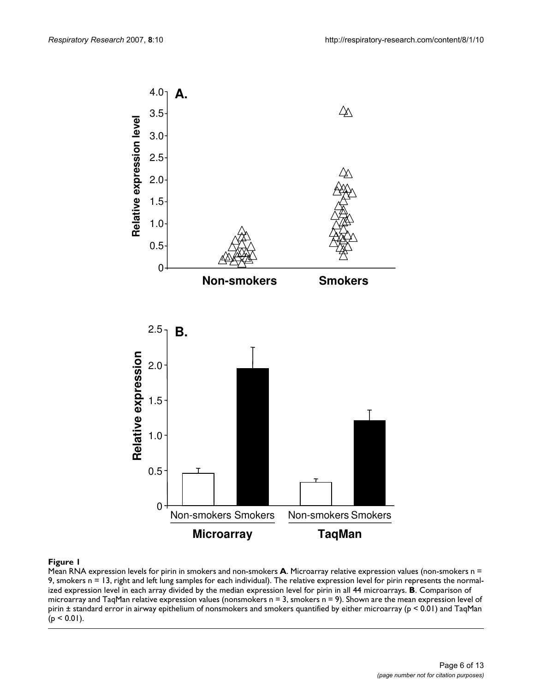

#### Figure 1

Mean RNA expression levels for pirin in smokers and non-smokers **A**. Microarray relative expression values (non-smokers n = 9, smokers n = 13, right and left lung samples for each individual). The relative expression level for pirin represents the normalized expression level in each array divided by the median expression level for pirin in all 44 microarrays. **B**. Comparison of microarray and TaqMan relative expression values (nonsmokers n = 3, smokers n = 9). Shown are the mean expression level of pirin ± standard error in airway epithelium of nonsmokers and smokers quantified by either microarray (p < 0.01) and TaqMan  $(p < 0.01)$ .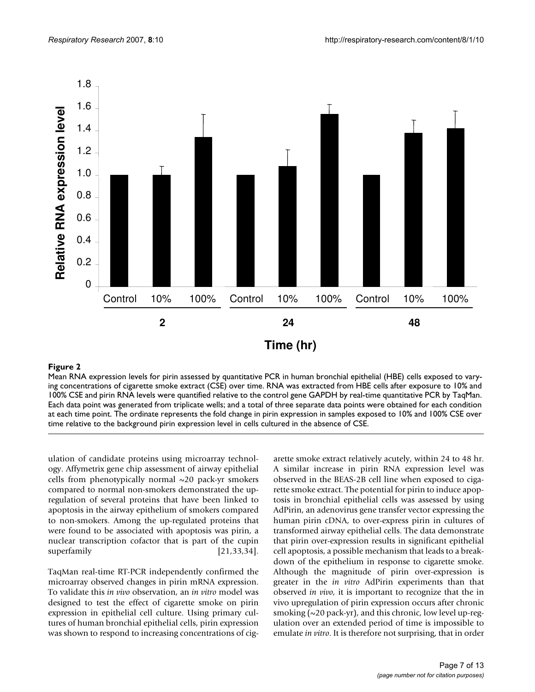

#### Mean RNA expression levels for ing concentrations of cigarette smoke extract (CSE) over time **Figure 2** pirin assessed by quantitative PCR in human bronchial epithelial (HBE) cells exposed to vary-

Mean RNA expression levels for pirin assessed by quantitative PCR in human bronchial epithelial (HBE) cells exposed to varying concentrations of cigarette smoke extract (CSE) over time. RNA was extracted from HBE cells after exposure to 10% and 100% CSE and pirin RNA levels were quantified relative to the control gene GAPDH by real-time quantitative PCR by TaqMan. Each data point was generated from triplicate wells; and a total of three separate data points were obtained for each condition at each time point. The ordinate represents the fold change in pirin expression in samples exposed to 10% and 100% CSE over time relative to the background pirin expression level in cells cultured in the absence of CSE.

ulation of candidate proteins using microarray technology. Affymetrix gene chip assessment of airway epithelial cells from phenotypically normal  $\sim$ 20 pack-yr smokers compared to normal non-smokers demonstrated the upregulation of several proteins that have been linked to apoptosis in the airway epithelium of smokers compared to non-smokers. Among the up-regulated proteins that were found to be associated with apoptosis was pirin, a nuclear transcription cofactor that is part of the cupin superfamily [21,33,34].

TaqMan real-time RT-PCR independently confirmed the microarray observed changes in pirin mRNA expression. To validate this *in vivo* observation, an *in vitro* model was designed to test the effect of cigarette smoke on pirin expression in epithelial cell culture. Using primary cultures of human bronchial epithelial cells, pirin expression was shown to respond to increasing concentrations of cigarette smoke extract relatively acutely, within 24 to 48 hr. A similar increase in pirin RNA expression level was observed in the BEAS-2B cell line when exposed to cigarette smoke extract. The potential for pirin to induce apoptosis in bronchial epithelial cells was assessed by using AdPirin, an adenovirus gene transfer vector expressing the human pirin cDNA, to over-express pirin in cultures of transformed airway epithelial cells. The data demonstrate that pirin over-expression results in significant epithelial cell apoptosis, a possible mechanism that leads to a breakdown of the epithelium in response to cigarette smoke. Although the magnitude of pirin over-expression is greater in the *in vitro* AdPirin experiments than that observed *in vivo*, it is important to recognize that the in vivo upregulation of pirin expression occurs after chronic smoking  $(\sim 20$  pack-yr), and this chronic, low level up-regulation over an extended period of time is impossible to emulate *in vitro*. It is therefore not surprising, that in order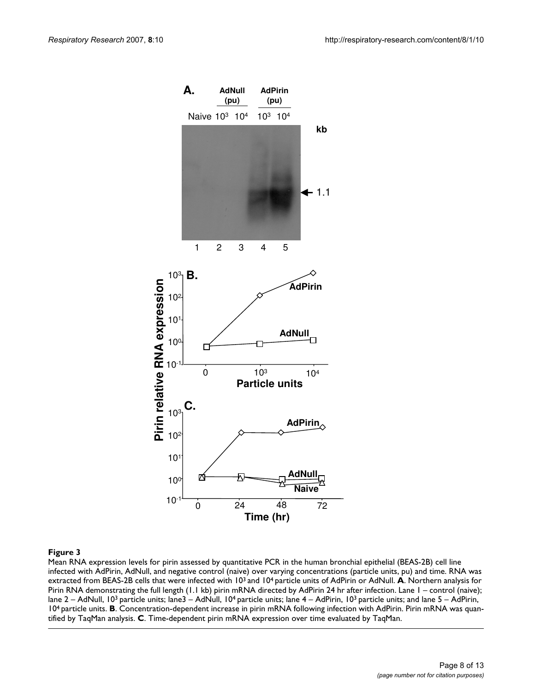

#### **Figure 3** Product to the contract of the contract of the contract of the contract of the contract of the contract of the contract of the contract of the contract of the contract of the contract of the contract of the cont

Mean RNA expression levels for pirin assessed by quantitative PCR in the human bronchial epithelial (BEAS-2B) cell line infected with AdPirin, AdNull, and negative control (naive) over varying concentrations (particle units, pu) and time. RNA was extracted from BEAS-2B cells that were infected with 103 and 104 particle units of AdPirin or AdNull. **A**. Northern analysis for Pirin RNA demonstrating the full length (1.1 kb) pirin mRNA directed by AdPirin 24 hr after infection. Lane I – control (naive); lane 2 – AdNull, 10<sup>3</sup> particle units; lane3 – AdNull, 10<sup>4</sup> particle units; lane 4 – AdPirin, 10<sup>3</sup> particle units; and lane 5 – AdPirin, 104 particle units. **B**. Concentration-dependent increase in pirin mRNA following infection with AdPirin. Pirin mRNA was quantified by TaqMan analysis. **C**. Time-dependent pirin mRNA expression over time evaluated by TaqMan.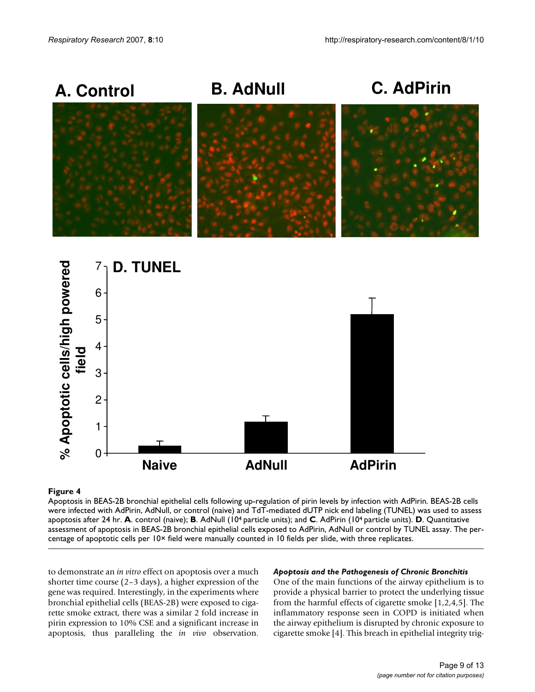

Apoptosis in BEAS-2B bronchial epithelia **Figure 4** l cells following up-regulation of pirin levels by infection with AdPirin Apoptosis in BEAS-2B bronchial epithelial cells following up-regulation of pirin levels by infection with AdPirin. BEAS-2B cells were infected with AdPirin, AdNull, or control (naive) and TdT-mediated dUTP nick end labeling (TUNEL) was used to assess apoptosis after 24 hr. **A**. control (naive); **B**. AdNull (104 particle units); and **C**. AdPirin (104 particle units). **D**. Quantitative assessment of apoptosis in BEAS-2B bronchial epithelial cells exposed to AdPirin, AdNull or control by TUNEL assay. The percentage of apoptotic cells per 10× field were manually counted in 10 fields per slide, with three replicates.

to demonstrate an *in vitro* effect on apoptosis over a much shorter time course (2–3 days), a higher expression of the gene was required. Interestingly, in the experiments where bronchial epithelial cells (BEAS-2B) were exposed to cigarette smoke extract, there was a similar 2 fold increase in pirin expression to 10% CSE and a significant increase in apoptosis, thus paralleling the *in vivo* observation.

#### *Apoptosis and the Pathogenesis of Chronic Bronchitis*

One of the main functions of the airway epithelium is to provide a physical barrier to protect the underlying tissue from the harmful effects of cigarette smoke [1,2,4,5]. The inflammatory response seen in COPD is initiated when the airway epithelium is disrupted by chronic exposure to cigarette smoke [4]. This breach in epithelial integrity trig-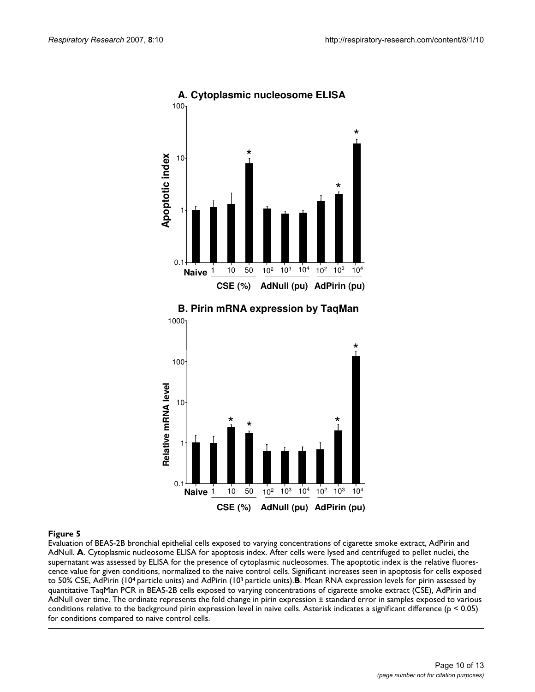

## **A. Cytoplasmic nucleosome ELISA**





#### Evaluation of BEAS-2B bronchial epithelial AdNull **Figure 5** cells exposed to varying concentrations of cigarette smoke extract, AdPirin and

Evaluation of BEAS-2B bronchial epithelial cells exposed to varying concentrations of cigarette smoke extract, AdPirin and AdNull. **A**. Cytoplasmic nucleosome ELISA for apoptosis index. After cells were lysed and centrifuged to pellet nuclei, the supernatant was assessed by ELISA for the presence of cytoplasmic nucleosomes. The apoptotic index is the relative fluorescence value for given conditions, normalized to the naive control cells. Significant increases seen in apoptosis for cells exposed to 50% CSE, AdPirin (104 particle units) and AdPirin (103 particle units).**B**. Mean RNA expression levels for pirin assessed by quantitative TaqMan PCR in BEAS-2B cells exposed to varying concentrations of cigarette smoke extract (CSE), AdPirin and AdNull over time. The ordinate represents the fold change in pirin expression ± standard error in samples exposed to various conditions relative to the background pirin expression level in naive cells. Asterisk indicates a significant difference ( $p < 0.05$ ) for conditions compared to naive control cells.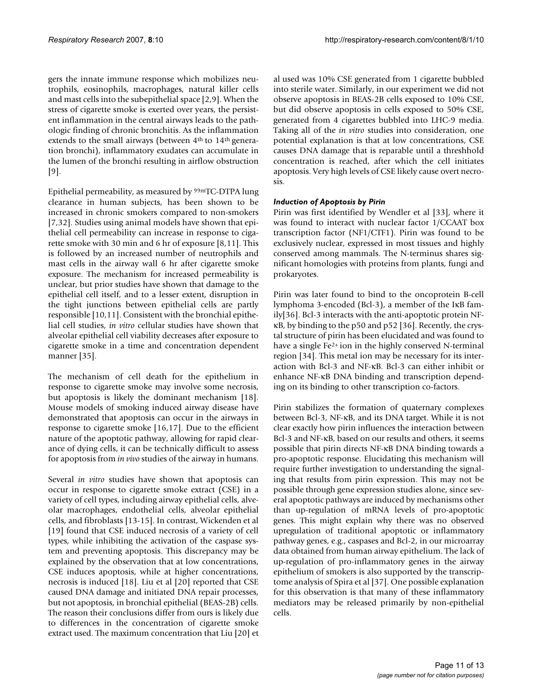gers the innate immune response which mobilizes neutrophils, eosinophils, macrophages, natural killer cells and mast cells into the subepithelial space [2,9]. When the stress of cigarette smoke is exerted over years, the persistent inflammation in the central airways leads to the pathologic finding of chronic bronchitis. As the inflammation extends to the small airways (between 4<sup>th</sup> to 14<sup>th</sup> generation bronchi), inflammatory exudates can accumulate in the lumen of the bronchi resulting in airflow obstruction [9].

Epithelial permeability, as measured by 99mTC-DTPA lung clearance in human subjects, has been shown to be increased in chronic smokers compared to non-smokers [7,32]. Studies using animal models have shown that epithelial cell permeability can increase in response to cigarette smoke with 30 min and 6 hr of exposure [8,11]. This is followed by an increased number of neutrophils and mast cells in the airway wall 6 hr after cigarette smoke exposure. The mechanism for increased permeability is unclear, but prior studies have shown that damage to the epithelial cell itself, and to a lesser extent, disruption in the tight junctions between epithelial cells are partly responsible [10,11]. Consistent with the bronchial epithelial cell studies, *in vitro* cellular studies have shown that alveolar epithelial cell viability decreases after exposure to cigarette smoke in a time and concentration dependent manner [35].

The mechanism of cell death for the epithelium in response to cigarette smoke may involve some necrosis, but apoptosis is likely the dominant mechanism [18]. Mouse models of smoking induced airway disease have demonstrated that apoptosis can occur in the airways in response to cigarette smoke [16,17]. Due to the efficient nature of the apoptotic pathway, allowing for rapid clearance of dying cells, it can be technically difficult to assess for apoptosis from *in vivo* studies of the airway in humans.

Several *in vitro* studies have shown that apoptosis can occur in response to cigarette smoke extract (CSE) in a variety of cell types, including airway epithelial cells, alveolar macrophages, endothelial cells, alveolar epithelial cells, and fibroblasts [13-15]. In contrast, Wickenden et al [19] found that CSE induced necrosis of a variety of cell types, while inhibiting the activation of the caspase system and preventing apoptosis. This discrepancy may be explained by the observation that at low concentrations, CSE induces apoptosis, while at higher concentrations, necrosis is induced [18]. Liu et al [20] reported that CSE caused DNA damage and initiated DNA repair processes, but not apoptosis, in bronchial epithelial (BEAS-2B) cells. The reason their conclusions differ from ours is likely due to differences in the concentration of cigarette smoke extract used. The maximum concentration that Liu [20] et al used was 10% CSE generated from 1 cigarette bubbled into sterile water. Similarly, in our experiment we did not observe apoptosis in BEAS-2B cells exposed to 10% CSE, but did observe apoptosis in cells exposed to 50% CSE, generated from 4 cigarettes bubbled into LHC-9 media. Taking all of the *in vitro* studies into consideration, one potential explanation is that at low concentrations, CSE causes DNA damage that is reparable until a threshhold concentration is reached, after which the cell initiates apoptosis. Very high levels of CSE likely cause overt necrosis.

#### *Induction of Apoptosis by Pirin*

Pirin was first identified by Wendler et al [33], where it was found to interact with nuclear factor 1/CCAAT box transcription factor (NF1/CTF1). Pirin was found to be exclusively nuclear, expressed in most tissues and highly conserved among mammals. The N-terminus shares significant homologies with proteins from plants, fungi and prokaryotes.

Pirin was later found to bind to the oncoprotein B-cell lymphoma 3-encoded (Bcl-3), a member of the IκB family[36]. Bcl-3 interacts with the anti-apoptotic protein NFκB, by binding to the p50 and p52 [36]. Recently, the crystal structure of pirin has been elucidated and was found to have a single Fe<sup>2+</sup> ion in the highly conserved N-terminal region [34]. This metal ion may be necessary for its interaction with Bcl-3 and NF-κB. Bcl-3 can either inhibit or enhance NF-κB DNA binding and transcription depending on its binding to other transcription co-factors.

Pirin stabilizes the formation of quaternary complexes between Bcl-3, NF-κB, and its DNA target. While it is not clear exactly how pirin influences the interaction between Bcl-3 and NF-κB, based on our results and others, it seems possible that pirin directs NF-κB DNA binding towards a pro-apoptotic response. Elucidating this mechanism will require further investigation to understanding the signaling that results from pirin expression. This may not be possible through gene expression studies alone, since several apoptotic pathways are induced by mechanisms other than up-regulation of mRNA levels of pro-apoptotic genes. This might explain why there was no observed upregulation of traditional apoptotic or inflammatory pathway genes, e.g., caspases and Bcl-2, in our microarray data obtained from human airway epithelium. The lack of up-regulation of pro-inflammatory genes in the airway epithelium of smokers is also supported by the transcriptome analysis of Spira et al [37]. One possible explanation for this observation is that many of these inflammatory mediators may be released primarily by non-epithelial cells.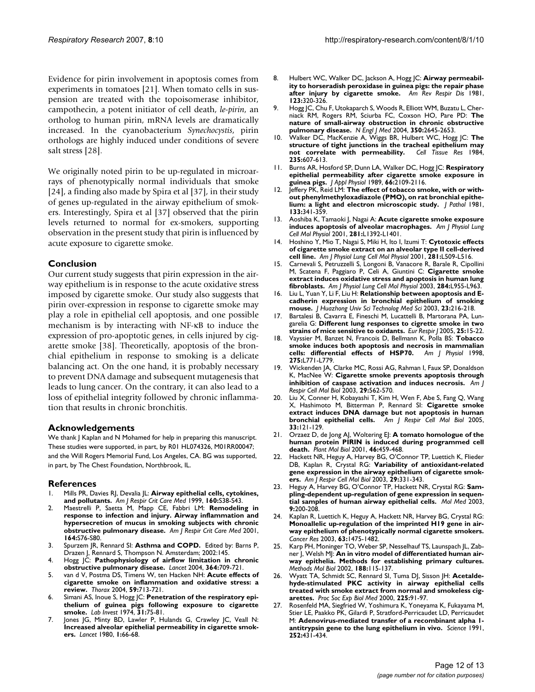Evidence for pirin involvement in apoptosis comes from experiments in tomatoes [21]. When tomato cells in suspension are treated with the topoisomerase inhibitor, campothecin, a potent initiator of cell death, *le-pirin*, an ortholog to human pirin, mRNA levels are dramatically increased. In the cyanobacterium *Synechocystis*, pirin orthologs are highly induced under conditions of severe salt stress [28].

We originally noted pirin to be up-regulated in microarrays of phenotypically normal individuals that smoke [24], a finding also made by Spira et al [37], in their study of genes up-regulated in the airway epithelium of smokers. Interestingly, Spira et al [37] observed that the pirin levels returned to normal for ex-smokers, supporting observation in the present study that pirin is influenced by acute exposure to cigarette smoke.

#### **Conclusion**

Our current study suggests that pirin expression in the airway epithelium is in response to the acute oxidative stress imposed by cigarette smoke. Our study also suggests that pirin over-expression in response to cigarette smoke may play a role in epithelial cell apoptosis, and one possible mechanism is by interacting with NF-κB to induce the expression of pro-apoptotic genes, in cells injured by cigarette smoke [38]. Theoretically, apoptosis of the bronchial epithelium in response to smoking is a delicate balancing act. On the one hand, it is probably necessary to prevent DNA damage and subsequent mutagenesis that leads to lung cancer. On the contrary, it can also lead to a loss of epithelial integrity followed by chronic inflammation that results in chronic bronchitis.

#### **Acknowledgements**

We thank J Kaplan and N Mohamed for help in preparing this manuscript. These studies were supported, in part, by R01 HL074326, M01RR00047; and the Will Rogers Memorial Fund, Los Angeles, CA. BG was supported, in part, by The Chest Foundation, Northbrook, IL.

#### **References**

- Mills PR, Davies RJ, Devalia JL: [Airway epithelial cells, cytokines,](http://www.ncbi.nlm.nih.gov/entrez/query.fcgi?cmd=Retrieve&db=PubMed&dopt=Abstract&list_uids=10556168) **[and pollutants.](http://www.ncbi.nlm.nih.gov/entrez/query.fcgi?cmd=Retrieve&db=PubMed&dopt=Abstract&list_uids=10556168)** *Am J Respir Crit Care Med* 1999, **160:**S38-S43.
- 2. Maestrelli P, Saetta M, Mapp CE, Fabbri LM: **[Remodeling in](http://www.ncbi.nlm.nih.gov/entrez/query.fcgi?cmd=Retrieve&db=PubMed&dopt=Abstract&list_uids=11734472) [response to infection and injury. Airway inflammation and](http://www.ncbi.nlm.nih.gov/entrez/query.fcgi?cmd=Retrieve&db=PubMed&dopt=Abstract&list_uids=11734472) hypersecretion of mucus in smoking subjects with chronic [obstructive pulmonary disease.](http://www.ncbi.nlm.nih.gov/entrez/query.fcgi?cmd=Retrieve&db=PubMed&dopt=Abstract&list_uids=11734472)** *Am J Respir Crit Care Med* 2001, **164:**S76-S80.
- 3. Spurzem JR, Rennard SI: **Asthma and COPD.** Edited by: Barns P, Drazen J, Rennard S, Thompson N. Amsterdam; 2002:145.
- 4. Hogg JC: **[Pathophysiology of airflow limitation in chronic](http://www.ncbi.nlm.nih.gov/entrez/query.fcgi?cmd=Retrieve&db=PubMed&dopt=Abstract&list_uids=15325838) [obstructive pulmonary disease.](http://www.ncbi.nlm.nih.gov/entrez/query.fcgi?cmd=Retrieve&db=PubMed&dopt=Abstract&list_uids=15325838)** *Lancet* 2004, **364:**709-721.
- 5. van d V, Postma DS, Timens W, ten Hacken NH: **[Acute effects of](http://www.ncbi.nlm.nih.gov/entrez/query.fcgi?cmd=Retrieve&db=PubMed&dopt=Abstract&list_uids=15282395) [cigarette smoke on inflammation and oxidative stress: a](http://www.ncbi.nlm.nih.gov/entrez/query.fcgi?cmd=Retrieve&db=PubMed&dopt=Abstract&list_uids=15282395) [review.](http://www.ncbi.nlm.nih.gov/entrez/query.fcgi?cmd=Retrieve&db=PubMed&dopt=Abstract&list_uids=15282395)** *Thorax* 2004, **59:**713-721.
- 6. Simani AS, Inoue S, Hogg JC: **[Penetration of the respiratory epi](http://www.ncbi.nlm.nih.gov/entrez/query.fcgi?cmd=Retrieve&db=PubMed&dopt=Abstract&list_uids=4843211)[thelium of guinea pigs following exposure to cigarette](http://www.ncbi.nlm.nih.gov/entrez/query.fcgi?cmd=Retrieve&db=PubMed&dopt=Abstract&list_uids=4843211) [smoke.](http://www.ncbi.nlm.nih.gov/entrez/query.fcgi?cmd=Retrieve&db=PubMed&dopt=Abstract&list_uids=4843211)** *Lab Invest* 1974, **31:**75-81.
- 7. Jones JG, Minty BD, Lawler P, Hulands G, Crawley JC, Veall N: **[Increased alveolar epithelial permeability in cigarette smok](http://www.ncbi.nlm.nih.gov/entrez/query.fcgi?cmd=Retrieve&db=PubMed&dopt=Abstract&list_uids=6101416)[ers.](http://www.ncbi.nlm.nih.gov/entrez/query.fcgi?cmd=Retrieve&db=PubMed&dopt=Abstract&list_uids=6101416)** *Lancet* 1980, **1:**66-68.
- 8. Hulbert WC, Walker DC, Jackson A, Hogg JC: **[Airway permeabil](http://www.ncbi.nlm.nih.gov/entrez/query.fcgi?cmd=Retrieve&db=PubMed&dopt=Abstract&list_uids=7224343)[ity to horseradish peroxidase in guinea pigs: the repair phase](http://www.ncbi.nlm.nih.gov/entrez/query.fcgi?cmd=Retrieve&db=PubMed&dopt=Abstract&list_uids=7224343) [after injury by cigarette smoke.](http://www.ncbi.nlm.nih.gov/entrez/query.fcgi?cmd=Retrieve&db=PubMed&dopt=Abstract&list_uids=7224343)** *Am Rev Respir Dis* 1981, **123:**320-326.
- 9. Hogg JC, Chu F, Utokaparch S, Woods R, Elliott WM, Buzatu L, Cherniack RM, Rogers RM, Sciurba FC, Coxson HO, Pare PD: **[The](http://www.ncbi.nlm.nih.gov/entrez/query.fcgi?cmd=Retrieve&db=PubMed&dopt=Abstract&list_uids=15215480) [nature of small-airway obstruction in chronic obstructive](http://www.ncbi.nlm.nih.gov/entrez/query.fcgi?cmd=Retrieve&db=PubMed&dopt=Abstract&list_uids=15215480) [pulmonary disease.](http://www.ncbi.nlm.nih.gov/entrez/query.fcgi?cmd=Retrieve&db=PubMed&dopt=Abstract&list_uids=15215480)** *N Engl J Med* 2004, **350:**2645-2653.
- 10. Walker DC, MacKenzie A, Wiggs BR, Hulbert WC, Hogg JC: **[The](http://www.ncbi.nlm.nih.gov/entrez/query.fcgi?cmd=Retrieve&db=PubMed&dopt=Abstract&list_uids=6713489) [structure of tight junctions in the tracheal epithelium may](http://www.ncbi.nlm.nih.gov/entrez/query.fcgi?cmd=Retrieve&db=PubMed&dopt=Abstract&list_uids=6713489)**<br>not correlate with permeability. Cell Tissue Res 1984, [not correlate with permeability.](http://www.ncbi.nlm.nih.gov/entrez/query.fcgi?cmd=Retrieve&db=PubMed&dopt=Abstract&list_uids=6713489) **235:**607-613.
- 11. Burns AR, Hosford SP, Dunn LA, Walker DC, Hogg JC: **[Respiratory](http://www.ncbi.nlm.nih.gov/entrez/query.fcgi?cmd=Retrieve&db=PubMed&dopt=Abstract&list_uids=2473059) [epithelial permeability after cigarette smoke exposure in](http://www.ncbi.nlm.nih.gov/entrez/query.fcgi?cmd=Retrieve&db=PubMed&dopt=Abstract&list_uids=2473059) [guinea pigs.](http://www.ncbi.nlm.nih.gov/entrez/query.fcgi?cmd=Retrieve&db=PubMed&dopt=Abstract&list_uids=2473059)** *J Appl Physiol* 1989, **66:**2109-2116.
- 12. Jeffery PK, Reid LM: **[The effect of tobacco smoke, with or with](http://www.ncbi.nlm.nih.gov/entrez/query.fcgi?cmd=Retrieve&db=PubMed&dopt=Abstract&list_uids=7241270)[out phenylmethyloxadiazole \(PMO\), on rat bronchial epithe](http://www.ncbi.nlm.nih.gov/entrez/query.fcgi?cmd=Retrieve&db=PubMed&dopt=Abstract&list_uids=7241270)[lium: a light and electron microscopic study.](http://www.ncbi.nlm.nih.gov/entrez/query.fcgi?cmd=Retrieve&db=PubMed&dopt=Abstract&list_uids=7241270)** *J Pathol* 1981, **133:**341-359.
- 13. Aoshiba K, Tamaoki J, Nagai A: **[Acute cigarette smoke exposure](http://www.ncbi.nlm.nih.gov/entrez/query.fcgi?cmd=Retrieve&db=PubMed&dopt=Abstract&list_uids=11704535) [induces apoptosis of alveolar macrophages.](http://www.ncbi.nlm.nih.gov/entrez/query.fcgi?cmd=Retrieve&db=PubMed&dopt=Abstract&list_uids=11704535)** *Am J Physiol Lung Cell Mol Physiol* 2001, **281:**L1392-L1401.
- 14. Hoshino Y, Mio T, Nagai S, Miki H, Ito I, Izumi T: **[Cytotoxic effects](http://www.ncbi.nlm.nih.gov/entrez/query.fcgi?cmd=Retrieve&db=PubMed&dopt=Abstract&list_uids=11435227) [of cigarette smoke extract on an alveolar type II cell-derived](http://www.ncbi.nlm.nih.gov/entrez/query.fcgi?cmd=Retrieve&db=PubMed&dopt=Abstract&list_uids=11435227) [cell line.](http://www.ncbi.nlm.nih.gov/entrez/query.fcgi?cmd=Retrieve&db=PubMed&dopt=Abstract&list_uids=11435227)** *Am J Physiol Lung Cell Mol Physiol* 2001, **281:**L509-L516.
- 15. Carnevali S, Petruzzelli S, Longoni B, Vanacore R, Barale R, Cipollini M, Scatena F, Paggiaro P, Celi A, Giuntini C: **[Cigarette smoke](http://www.ncbi.nlm.nih.gov/entrez/query.fcgi?cmd=Retrieve&db=PubMed&dopt=Abstract&list_uids=12547733) [extract induces oxidative stress and apoptosis in human lung](http://www.ncbi.nlm.nih.gov/entrez/query.fcgi?cmd=Retrieve&db=PubMed&dopt=Abstract&list_uids=12547733) [fibroblasts.](http://www.ncbi.nlm.nih.gov/entrez/query.fcgi?cmd=Retrieve&db=PubMed&dopt=Abstract&list_uids=12547733)** *Am J Physiol Lung Cell Mol Physiol* 2003, **284:**L955-L963.
- 16. Liu L, Yuan Y, Li F, Liu H: **[Relationship between apoptosis and E](http://www.ncbi.nlm.nih.gov/entrez/query.fcgi?cmd=Retrieve&db=PubMed&dopt=Abstract&list_uids=14526415)[cadherin expression in bronchial epithelium of smoking](http://www.ncbi.nlm.nih.gov/entrez/query.fcgi?cmd=Retrieve&db=PubMed&dopt=Abstract&list_uids=14526415) [mouse.](http://www.ncbi.nlm.nih.gov/entrez/query.fcgi?cmd=Retrieve&db=PubMed&dopt=Abstract&list_uids=14526415)** *J Huazhong Univ Sci Technolog Med Sci* 2003, **23:**216-218.
- 17. Bartalesi B, Cavarra E, Fineschi M, Lucattelli B, Martorana PA, Lungarelia G: **[Different lung responses to cigrette smoke in two](http://www.ncbi.nlm.nih.gov/entrez/query.fcgi?cmd=Retrieve&db=PubMed&dopt=Abstract&list_uids=15640318) [strains of mice sensitive to oxidants.](http://www.ncbi.nlm.nih.gov/entrez/query.fcgi?cmd=Retrieve&db=PubMed&dopt=Abstract&list_uids=15640318)** *Eur Respir J* 2005, **25:**15-22.
- 18. Vayssier M, Banzet N, Francois D, Bellmann K, Polla BS: **[Tobacco](http://www.ncbi.nlm.nih.gov/entrez/query.fcgi?cmd=Retrieve&db=PubMed&dopt=Abstract&list_uids=9755110)** [smoke induces both apoptosis and necrosis in mammalian](http://www.ncbi.nlm.nih.gov/entrez/query.fcgi?cmd=Retrieve&db=PubMed&dopt=Abstract&list_uids=9755110) cells: differential effects of **HSP70.** Am | Physiol 1998. [cells: differential effects of HSP70.](http://www.ncbi.nlm.nih.gov/entrez/query.fcgi?cmd=Retrieve&db=PubMed&dopt=Abstract&list_uids=9755110) **275:**L771-L779.
- 19. Wickenden JA, Clarke MC, Rossi AG, Rahman I, Faux SP, Donaldson K, MacNee W: **[Cigarette smoke prevents apoptosis through](http://www.ncbi.nlm.nih.gov/entrez/query.fcgi?cmd=Retrieve&db=PubMed&dopt=Abstract&list_uids=12748058) [inhibition of caspase activation and induces necrosis.](http://www.ncbi.nlm.nih.gov/entrez/query.fcgi?cmd=Retrieve&db=PubMed&dopt=Abstract&list_uids=12748058)** *Am J Respir Cell Mol Biol* 2003, **29:**562-570.
- 20. Liu X, Conner H, Kobayashi T, Kim H, Wen F, Abe S, Fang Q, Wang X, Hashimoto M, Bitterman P, Rennard SI: **[Cigarette smoke](http://www.ncbi.nlm.nih.gov/entrez/query.fcgi?cmd=Retrieve&db=PubMed&dopt=Abstract&list_uids=15845867) [extract induces DNA damage but not apoptosis in human](http://www.ncbi.nlm.nih.gov/entrez/query.fcgi?cmd=Retrieve&db=PubMed&dopt=Abstract&list_uids=15845867) [bronchial epithelial cells.](http://www.ncbi.nlm.nih.gov/entrez/query.fcgi?cmd=Retrieve&db=PubMed&dopt=Abstract&list_uids=15845867)** *Am J Respir Cell Mol Biol* 2005, **33:**121-129.
- 21. Orzaez D, de Jong AJ, Woltering EJ: **[A tomato homologue of the](http://www.ncbi.nlm.nih.gov/entrez/query.fcgi?cmd=Retrieve&db=PubMed&dopt=Abstract&list_uids=11485202) [human protein PIRIN is induced during programmed cell](http://www.ncbi.nlm.nih.gov/entrez/query.fcgi?cmd=Retrieve&db=PubMed&dopt=Abstract&list_uids=11485202) [death.](http://www.ncbi.nlm.nih.gov/entrez/query.fcgi?cmd=Retrieve&db=PubMed&dopt=Abstract&list_uids=11485202)** *Plant Mol Biol* 2001, **46:**459-468.
- 22. Hackett NR, Heguy A, Harvey BG, O'Connor TP, Luettich K, Flieder DB, Kaplan R, Crystal RG: **[Variability of antioxidant-related](http://www.ncbi.nlm.nih.gov/entrez/query.fcgi?cmd=Retrieve&db=PubMed&dopt=Abstract&list_uids=12702543) [gene expression in the airway epithelium of cigarette smok](http://www.ncbi.nlm.nih.gov/entrez/query.fcgi?cmd=Retrieve&db=PubMed&dopt=Abstract&list_uids=12702543)[ers.](http://www.ncbi.nlm.nih.gov/entrez/query.fcgi?cmd=Retrieve&db=PubMed&dopt=Abstract&list_uids=12702543)** *Am J Respir Cell Mol Biol* 2003, **29:**331-343.
- 23. Heguy A, Harvey BG, O'Connor TP, Hackett NR, Crystal RG: **[Sam](http://www.ncbi.nlm.nih.gov/entrez/query.fcgi?cmd=Retrieve&db=PubMed&dopt=Abstract&list_uids=15208741)[pling-dependent up-regulation of gene expression in sequen](http://www.ncbi.nlm.nih.gov/entrez/query.fcgi?cmd=Retrieve&db=PubMed&dopt=Abstract&list_uids=15208741)[tial samples of human airway epithelial cells.](http://www.ncbi.nlm.nih.gov/entrez/query.fcgi?cmd=Retrieve&db=PubMed&dopt=Abstract&list_uids=15208741)** *Mol Med* 2003, **9:**200-208.
- 24. Kaplan R, Luettich K, Heguy A, Hackett NR, Harvey BG, Crystal RG: **Monoallelic up-regulation of the imprinted H19 gene in air[way epithelium of phenotypically normal cigarette smokers.](http://www.ncbi.nlm.nih.gov/entrez/query.fcgi?cmd=Retrieve&db=PubMed&dopt=Abstract&list_uids=12670893)** *Cancer Res* 2003, **63:**1475-1482.
- 25. Karp PH, Moninger TO, Weber SP, Nesselhauf TS, Launspach JL, Zabner J, Welsh MJ: **[An in vitro model of differentiated human air](http://www.ncbi.nlm.nih.gov/entrez/query.fcgi?cmd=Retrieve&db=PubMed&dopt=Abstract&list_uids=11987537)[way epithelia. Methods for establishing primary cultures.](http://www.ncbi.nlm.nih.gov/entrez/query.fcgi?cmd=Retrieve&db=PubMed&dopt=Abstract&list_uids=11987537)** *Methods Mol Biol* 2002, **188:**115-137.
- 26. Wyatt TA, Schmidt SC, Rennard SI, Tuma DJ, Sisson JH: **[Acetalde](http://www.ncbi.nlm.nih.gov/entrez/query.fcgi?cmd=Retrieve&db=PubMed&dopt=Abstract&list_uids=10998203)[hyde-stimulated PKC activity in airway epithelial cells](http://www.ncbi.nlm.nih.gov/entrez/query.fcgi?cmd=Retrieve&db=PubMed&dopt=Abstract&list_uids=10998203) treated with smoke extract from normal and smokeless cig[arettes.](http://www.ncbi.nlm.nih.gov/entrez/query.fcgi?cmd=Retrieve&db=PubMed&dopt=Abstract&list_uids=10998203)** *Proc Soc Exp Biol Med* 2000, **225:**91-97.
- 27. Rosenfeld MA, Siegfried W, Yoshimura K, Yoneyama K, Fukayama M, Stier LE, Paakko PK, Gilardi P, Stratford-Perricaudet LD, Perricaudet M: **[Adenovirus-mediated transfer of a recombinant alpha 1](http://www.ncbi.nlm.nih.gov/entrez/query.fcgi?cmd=Retrieve&db=PubMed&dopt=Abstract&list_uids=2017680) [antitrypsin gene to the lung epithelium in vivo.](http://www.ncbi.nlm.nih.gov/entrez/query.fcgi?cmd=Retrieve&db=PubMed&dopt=Abstract&list_uids=2017680)** *Science* 1991, **252:**431-434.